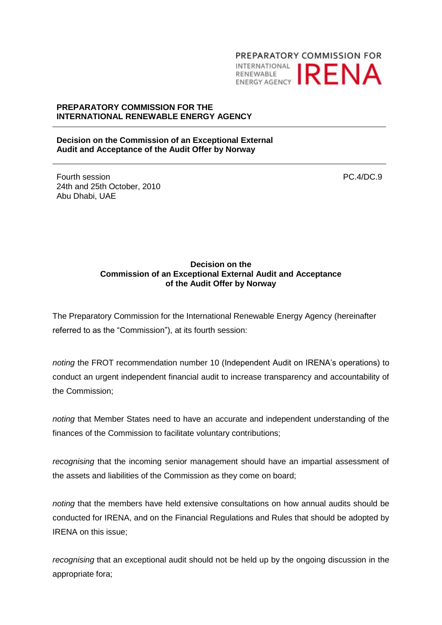

## **PREPARATORY COMMISSION FOR THE INTERNATIONAL RENEWABLE ENERGY AGENCY**

## **Decision on the Commission of an Exceptional External Audit and Acceptance of the Audit Offer by Norway**

Fourth session 24th and 25th October, 2010 Abu Dhabi, UAE

PC.4/DC.9

## **Decision on the Commission of an Exceptional External Audit and Acceptance of the Audit Offer by Norway**

The Preparatory Commission for the International Renewable Energy Agency (hereinafter referred to as the "Commission"), at its fourth session:

*noting* the FROT recommendation number 10 (Independent Audit on IRENA's operations) to conduct an urgent independent financial audit to increase transparency and accountability of the Commission;

*noting* that Member States need to have an accurate and independent understanding of the finances of the Commission to facilitate voluntary contributions;

*recognising* that the incoming senior management should have an impartial assessment of the assets and liabilities of the Commission as they come on board;

*noting* that the members have held extensive consultations on how annual audits should be conducted for IRENA, and on the Financial Regulations and Rules that should be adopted by IRENA on this issue;

*recognising* that an exceptional audit should not be held up by the ongoing discussion in the appropriate fora;